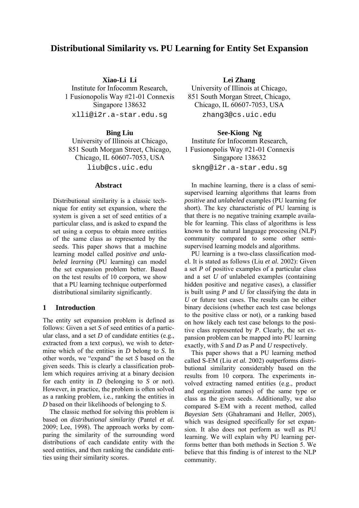# **Distributional Similarity vs. PU Learning for Entity Set Expansion**

**Xiao-Li Li** 

Institute for Infocomm Research, 1 Fusionopolis Way #21-01 Connexis Singapore 138632

xlli@i2r.a-star.edu.sg

### **Bing Liu**

University of Illinois at Chicago, 851 South Morgan Street, Chicago, Chicago, IL 60607-7053, USA

liub@cs.uic.edu

### **Abstract**

Distributional similarity is a classic technique for entity set expansion, where the system is given a set of seed entities of a particular class, and is asked to expand the set using a corpus to obtain more entities of the same class as represented by the seeds. This paper shows that a machine learning model called *positive and unlabeled learning* (PU learning) can model the set expansion problem better. Based on the test results of 10 corpora, we show that a PU learning technique outperformed distributional similarity significantly.

# **1 Introduction**

The entity set expansion problem is defined as follows: Given a set *S* of seed entities of a particular class, and a set *D* of candidate entities (e.g., extracted from a text corpus), we wish to determine which of the entities in *D* belong to *S*. In other words, we "expand" the set *S* based on the given seeds. This is clearly a classification problem which requires arriving at a binary decision for each entity in *D* (belonging to *S* or not). However, in practice, the problem is often solved as a ranking problem, i.e., ranking the entities in *D* based on their likelihoods of belonging to *S*.

The classic method for solving this problem is based on *distributional similarity* (Pantel *et al.* 2009; Lee, 1998). The approach works by comparing the similarity of the surrounding word distributions of each candidate entity with the seed entities, and then ranking the candidate entities using their similarity scores.

**Lei Zhang**  University of Illinois at Chicago, 851 South Morgan Street, Chicago, Chicago, IL 60607-7053, USA zhang3@cs.uic.edu

**See-Kiong Ng**  Institute for Infocomm Research, 1 Fusionopolis Way #21-01 Connexis Singapore 138632 skng@i2r.a-star.edu.sg

In machine learning, there is a class of semisupervised learning algorithms that learns from *positive* and *unlabeled* examples (PU learning for short). The key characteristic of PU learning is that there is no negative training example available for learning. This class of algorithms is less known to the natural language processing (NLP) community compared to some other semisupervised learning models and algorithms.

PU learning is a two-class classification model. It is stated as follows (Liu *et al.* 2002): Given a set *P* of positive examples of a particular class and a set *U* of unlabeled examples (containing hidden positive and negative cases), a classifier is built using *P* and *U* for classifying the data in *U* or future test cases. The results can be either binary decisions (whether each test case belongs to the positive class or not), or a ranking based on how likely each test case belongs to the positive class represented by *P*. Clearly, the set expansion problem can be mapped into PU learning exactly, with *S* and *D* as *P* and *U* respectively.

This paper shows that a PU learning method called S-EM (Liu *et al.* 2002) outperforms distributional similarity considerably based on the results from 10 corpora. The experiments involved extracting named entities (e.g., product and organization names) of the same type or class as the given seeds. Additionally, we also compared S-EM with a recent method, called *Bayesian Sets* (Ghahramani and Heller, 2005), which was designed specifically for set expansion. It also does not perform as well as PU learning. We will explain why PU learning performs better than both methods in Section 5. We believe that this finding is of interest to the NLP community.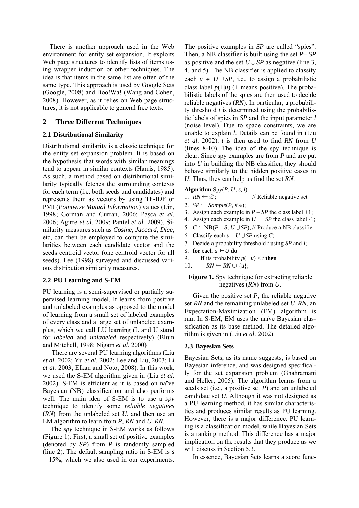There is another approach used in the Web environment for entity set expansion. It exploits Web page structures to identify lists of items using wrapper induction or other techniques. The idea is that items in the same list are often of the same type. This approach is used by Google Sets (Google, 2008) and Boo!Wa! (Wang and Cohen, 2008). However, as it relies on Web page structures, it is not applicable to general free texts.

## **2 Three Different Techniques**

### **2.1 Distributional Similarity**

Distributional similarity is a classic technique for the entity set expansion problem. It is based on the hypothesis that words with similar meanings tend to appear in similar contexts (Harris, 1985). As such, a method based on distributional similarity typically fetches the surrounding contexts for each term (i.e. both seeds and candidates) and represents them as vectors by using TF-IDF or PMI (*Pointwise Mutual Information*) values (Lin, 1998; Gorman and Curran, 2006; Paşca *et al*. 2006; Agirre *et al*. 2009; Pantel *et al*. 2009). Similarity measures such as *Cosine*, *Jaccard*, *Dice*, etc, can then be employed to compute the similarities between each candidate vector and the seeds centroid vector (one centroid vector for all seeds). Lee (1998) surveyed and discussed various distribution similarity measures.

#### **2.2 PU Learning and S-EM**

PU learning is a semi-supervised or partially supervised learning model. It learns from positive and unlabeled examples as opposed to the model of learning from a small set of labeled examples of every class and a large set of unlabeled examples, which we call LU learning (L and U stand for *labeled* and *unlabeled* respectively) (Blum and Mitchell, 1998; Nigam *et al*. 2000)

There are several PU learning algorithms (Liu *et al.* 2002; Yu *et al*. 2002; Lee and Liu, 2003; Li *et al.* 2003; Elkan and Noto, 2008). In this work, we used the S-EM algorithm given in (Liu *et al.* 2002). S-EM is efficient as it is based on naïve Bayesian (NB) classification and also performs well. The main idea of S-EM is to use a *spy* technique to identify some *reliable negatives*  (*RN*) from the unlabeled set *U*, and then use an EM algorithm to learn from *P*, *RN* and *U*–*RN*.

The *spy* technique in S-EM works as follows (Figure 1): First, a small set of positive examples (denoted by *SP*) from *P* is randomly sampled (line 2). The default sampling ratio in S-EM is *s*  $= 15\%$ , which we also used in our experiments.

The positive examples in *SP* are called "spies". Then, a NB classifier is built using the set *P*– *SP*  as positive and the set *U*∪*SP* as negative (line 3, 4, and 5). The NB classifier is applied to classify each  $u \in U \cup SP$ , i.e., to assign a probabilistic class label  $p(+|u)$  (+ means positive). The probabilistic labels of the spies are then used to decide reliable negatives (*RN*). In particular, a probability threshold *t* is determined using the probabilistic labels of spies in *SP* and the input parameter *l* (noise level). Due to space constraints, we are unable to explain *l*. Details can be found in (Liu *et al*. 2002). *t* is then used to find *RN* from *U* (lines 8-10). The idea of the spy technique is clear. Since spy examples are from *P* and are put into *U* in building the NB classifier, they should behave similarly to the hidden positive cases in *U*. Thus, they can help us find the set *RN*.

## **Algorithm**  $Spy(P, U, s, l)$

- 1.  $RN \leftarrow \emptyset$ ; // Reliable negative set
- 2.  $SP \leftarrow Sample(P, s\%)$ ;
- 3. Assign each example in  $P SP$  the class label  $+1$ ;
- 4. Assign each example in  $U \cup SP$  the class label -1;
- 5. *C* ←NB(*P S*, *U* ∪ *SP*); // Produce a NB classifier
- 6. Classify each  $u$  ∈ *U*∪*SP* using *C*;
- 7. Decide a probability threshold *t* using *SP* and *l*;
- 8. **for** each  $u$  ∈  $U$  **do**
- 9. **if** its probability  $p(+|u) \le t$  **then**
- 10.  $RN \leftarrow RN \cup \{u\};$

## **Figure 1.** Spy technique for extracting reliable negatives (*RN*) from *U*.

Given the positive set *P*, the reliable negative set *RN* and the remaining unlabeled set *U*–*RN*, an Expectation-Maximization (EM) algorithm is run. In S-EM, EM uses the naïve Bayesian classification as its base method. The detailed algorithm is given in (Liu *et al*. 2002).

#### **2.3 Bayesian Sets**

Bayesian Sets, as its name suggests, is based on Bayesian inference, and was designed specifically for the set expansion problem (Ghahramani and Heller, 2005). The algorithm learns from a seeds set (i.e., a positive set *P*) and an unlabeled candidate set *U*. Although it was not designed as a PU learning method, it has similar characteristics and produces similar results as PU learning. However, there is a major difference. PU learning is a classification model, while Bayesian Sets is a ranking method. This difference has a major implication on the results that they produce as we will discuss in Section 5.3.

In essence, Bayesian Sets learns a score func-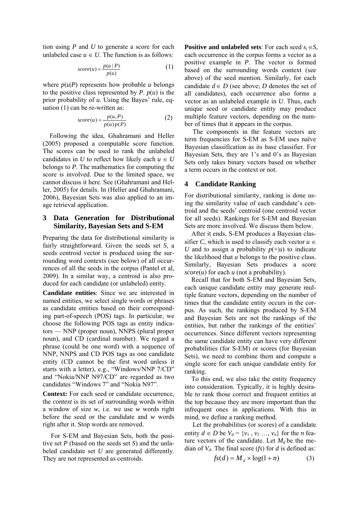tion using *P* and *U* to generate a score for each unlabeled case  $u \in U$ . The function is as follows:

$$
score(u) = \frac{p(u \mid P)}{p(u)}\tag{1}
$$

where  $p(u|P)$  represents how probable *u* belongs to the positive class represented by *P*.  $p(u)$  is the prior probability of *u*. Using the Bayes' rule, equation (1) can be re-written as:

$$
score(u) = \frac{p(u, P)}{p(u)p(P)}\tag{2}
$$

Following the idea, Ghahramani and Heller (2005) proposed a computable score function. The scores can be used to rank the unlabeled candidates in *U* to reflect how likely each  $u \in U$ belongs to *P*. The mathematics for computing the score is involved. Due to the limited space, we cannot discuss it here. See (Ghahramani and Heller, 2005) for details. In (Heller and Ghahramani, 2006), Bayesian Sets was also applied to an image retrieval application.

### **3 Data Generation for Distributional Similarity, Bayesian Sets and S-EM**

Preparing the data for distributional similarity is fairly straightforward. Given the seeds set *S*, a seeds centroid vector is produced using the surrounding word contexts (see below) of all occurrences of all the seeds in the corpus (Pantel et al, 2009). In a similar way, a centroid is also produced for each candidate (or unlabeled) entity.

**Candidate entities**: Since we are interested in named entities, we select single words or phrases as candidate entities based on their corresponding part-of-speech (POS) tags. In particular, we choose the following POS tags as entity indicators — NNP (proper noun), NNPS (plural proper noun), and CD (cardinal number). We regard a phrase (could be one word) with a sequence of NNP, NNPS and CD POS tags as one candidate entity (CD cannot be the first word unless it starts with a letter), e.g., "Windows/NNP 7/CD" and "Nokia/NNP N97/CD" are regarded as two candidates "Windows 7" and "Nokia N97".

**Context:** For each seed or candidate occurrence, the *context* is its set of surrounding words within a window of size *w*, i.e. we use *w* words right before the seed or the candidate and *w* words right after it. Stop words are removed.

For S-EM and Bayesian Sets, both the positive set *P* (based on the seeds set *S*) and the unlabeled candidate set *U* are generated differently. They are not represented as centroids.

**Positive and unlabeled sets:** For each seed  $s_i \in S$ , each occurrence in the corpus forms a vector as a positive example in *P*. The vector is formed based on the surrounding words context (see above) of the seed mention. Similarly, for each candidate  $d \in D$  (see above; *D* denotes the set of all candidates), each occurrence also forms a vector as an unlabeled example in *U*. Thus, each unique seed or candidate entity may produce multiple feature vectors, depending on the number of times that it appears in the corpus.

The components in the feature vectors are term frequencies for S-EM as S-EM uses naïve Bayesian classification as its base classifier. For Bayesian Sets, they are 1's and 0's as Bayesian Sets only takes binary vectors based on whether a term occurs in the context or not.

### **4 Candidate Ranking**

For distributional similarity, ranking is done using the similarity value of each candidate's centroid and the seeds' centroid (one centroid vector for all seeds). Rankings for S-EM and Bayesian Sets are more involved. We discuss them below.

After it ends, S-EM produces a Bayesian classifier *C*, which is used to classify each vector  $u \in$ *U* and to assign a probability  $p(+|u)$  to indicate the likelihood that *u* belongs to the positive class. Similarly, Bayesian Sets produces a score *score*(*u*) for each *u* (not a probability).

Recall that for both S-EM and Bayesian Sets, each unique candidate entity may generate multiple feature vectors, depending on the number of times that the candidate entity occurs in the corpus. As such, the rankings produced by S-EM and Bayesian Sets are not the rankings of the entities, but rather the rankings of the entities' occurrences. Since different vectors representing the same candidate entity can have very different probabilities (for S-EM) or scores (for Bayesian Sets), we need to combine them and compute a single score for each unique candidate entity for ranking.

To this end, we also take the entity frequency into consideration. Typically, it is highly desirable to rank those correct and frequent entities at the top because they are more important than the infrequent ones in applications. With this in mind, we define a ranking method.

Let the probabilities (or scores) of a candidate entity  $d \in D$  be  $V_d = \{v_1, v_2, \ldots, v_n\}$  for the *n* feature vectors of the candidate. Let  $M_d$  be the median of  $V_d$ . The final score (*fs*) for *d* is defined as:

$$
f s(d) = M_d \times \log(1 + n) \tag{3}
$$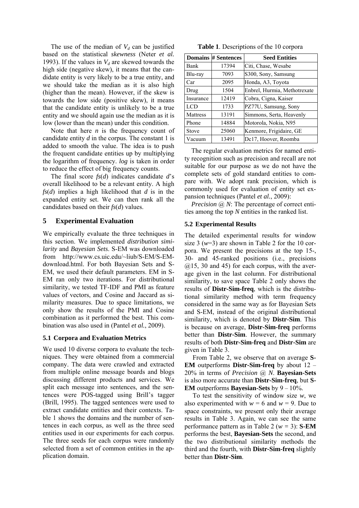The use of the median of  $V_d$  can be justified based on the statistical *skewness* (Neter *et al.* 1993). If the values in  $V_d$  are skewed towards the high side (negative skew), it means that the candidate entity is very likely to be a true entity, and we should take the median as it is also high (higher than the mean). However, if the skew is towards the low side (positive skew), it means that the candidate entity is unlikely to be a true entity and we should again use the median as it is low (lower than the mean) under this condition.

Note that here *n* is the frequency count of candidate entity *d* in the corpus. The constant 1 is added to smooth the value. The idea is to push the frequent candidate entities up by multiplying the logarithm of frequency. *log* is taken in order to reduce the effect of big frequency counts.

The final score *fs*(*d*) indicates candidate *d*'s overall likelihood to be a relevant entity. A high *fs*(*d*) implies a high likelihood that *d* is in the expanded entity set. We can then rank all the candidates based on their *fs*(*d*) values.

# **5 Experimental Evaluation**

We empirically evaluate the three techniques in this section. We implemented *distribution similarity* and *Bayesian Sets*. S-EM was downloaded from http://www.cs.uic.edu/~liub/S-EM/S-EMdownload.html. For both Bayesian Sets and S-EM, we used their default parameters. EM in S-EM ran only two iterations. For distributional similarity, we tested TF-IDF and PMI as feature values of vectors, and Cosine and Jaccard as similarity measures. Due to space limitations, we only show the results of the PMI and Cosine combination as it performed the best. This combination was also used in (Pantel *et al.*, 2009).

## **5.1 Corpora and Evaluation Metrics**

We used 10 diverse corpora to evaluate the techniques. They were obtained from a commercial company. The data were crawled and extracted from multiple online message boards and blogs discussing different products and services. We split each message into sentences, and the sentences were POS-tagged using Brill's tagger (Brill, 1995). The tagged sentences were used to extract candidate entities and their contexts. Table 1 shows the domains and the number of sentences in each corpus, as well as the three seed entities used in our experiments for each corpus. The three seeds for each corpus were randomly selected from a set of common entities in the application domain.

**Table 1**. Descriptions of the 10 corpora

|             | Domains # Sentences | <b>Seed Entities</b>         |
|-------------|---------------------|------------------------------|
| <b>Bank</b> | 17394               | Citi, Chase, Wesabe          |
| Blu-ray     | 7093                | S300, Sony, Samsung          |
| Car         | 2095                | Honda, A3, Toyota            |
| Drug        | 1504                | Enbrel, Hurmia, Methotrexate |
| Insurance   | 12419               | Cobra, Cigna, Kaiser         |
| <b>LCD</b>  | 1733                | PZ77U, Samsung, Sony         |
| Mattress    | 13191               | Simmons, Serta, Heavenly     |
| Phone       | 14884               | Motorola, Nokia, N95         |
| Stove       | 25060               | Kenmore, Frigidaire, GE      |
| Vacuum      | 13491               | Dc17, Hoover, Roomba         |

The regular evaluation metrics for named entity recognition such as precision and recall are not suitable for our purpose as we do not have the complete sets of gold standard entities to compare with. We adopt rank precision, which is commonly used for evaluation of entity set expansion techniques (Pantel *et al.*, 2009):

*Precision* (*a*) *N*: The percentage of correct entities among the top *N* entities in the ranked list.

# **5.2 Experimental Results**

The detailed experimental results for window size 3  $(w=3)$  are shown in Table 2 for the 10 corpora. We present the precisions at the top 15-, 30- and 45-ranked positions (i.e., precisions  $(a)$ 15, 30 and 45) for each corpus, with the average given in the last column. For distributional similarity, to save space Table 2 only shows the results of **Distr-Sim-freq**, which is the distributional similarity method with term frequency considered in the same way as for Bayesian Sets and S-EM, instead of the original distributional similarity, which is denoted by **Distr-Sim**. This is because on average, **Distr-Sim-freq** performs better than **Distr-Sim**. However, the summary results of both **Distr-Sim-freq** and **Distr-Sim** are given in Table 3.

From Table 2, we observe that on average **S-EM** outperforms **Distr-Sim-freq** by about 12 – 20% in terms of *Precision* @ *N*. **Bayesian-Sets** is also more accurate than **Distr-Sim-freq**, but **S-EM** outperforms **Bayesian-Sets** by 9 – 10%.

To test the sensitivity of window size *w*, we also experimented with  $w = 6$  and  $w = 9$ . Due to space constraints, we present only their average results in Table 3. Again, we can see the same performance pattern as in Table 2 (*w =* 3): **S-EM** performs the best, **Bayesian-Sets** the second, and the two distributional similarity methods the third and the fourth, with **Distr-Sim-freq** slightly better than **Distr-Sim**.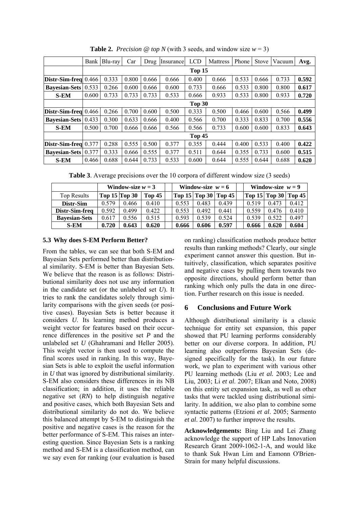|                                                        | Bank   | Blu-ray | Car   | Drug  | Insurance | <b>LCD</b> | Mattress | Phone<br><b>Stove</b> |       | Vacuum | Avg.  |
|--------------------------------------------------------|--------|---------|-------|-------|-----------|------------|----------|-----------------------|-------|--------|-------|
|                                                        | Top 15 |         |       |       |           |            |          |                       |       |        |       |
| $\left  \right $ Distr-Sim-freq $\left  0.466 \right $ |        | 0.333   | 0.800 | 0.666 | 0.666     | 0.400      | 0.666    | 0.533                 | 0.666 | 0.733  | 0.592 |
| <b>Bayesian-Sets</b>                                   | 0.533  | 0.266   | 0.600 | 0.666 | 0.600     | 0.733      | 0.666    | 0.533                 | 0.800 | 0.800  | 0.617 |
| <b>S-EM</b>                                            | 0.600  | 0.733   | 0.733 | 0.733 | 0.533     | 0.666      | 0.933    | 0.533                 | 0.800 | 0.933  | 0.720 |
|                                                        | Top 30 |         |       |       |           |            |          |                       |       |        |       |
| $Distr-Sim-freq$ 0.466                                 |        | 0.266   | 0.700 | 0.600 | 0.500     | 0.333      | 0.500    | 0.466                 | 0.600 | 0.566  | 0.499 |
| <b>Bayesian-Sets</b>                                   | 0.433  | 0.300   | 0.633 | 0.666 | 0.400     | 0.566      | 0.700    | 0.333                 | 0.833 | 0.700  | 0.556 |
| <b>S-EM</b>                                            | 0.500  | 0.700   | 0.666 | 0.666 | 0.566     | 0.566      | 0.733    | 0.600                 | 0.600 | 0.833  | 0.643 |
|                                                        | Top 45 |         |       |       |           |            |          |                       |       |        |       |
| $\left  \right $ Distr-Sim-freq $\left  0.377 \right $ |        | 0.288   | 0.555 | 0.500 | 0.377     | 0.355      | 0.444    | 0.400                 | 0.533 | 0.400  | 0.422 |
| <b>Bayesian-Sets</b>                                   | 0.377  | 0.333   | 0.666 | 0.555 | 0.377     | 0.511      | 0.644    | 0.355                 | 0.733 | 0.600  | 0.515 |
| <b>S-EM</b>                                            | 0.466  | 0.688   | 0.644 | 0.733 | 0.533     | 0.600      | 0.644    | 0.555                 | 0.644 | 0.688  | 0.620 |

**Table 2.** *Precision* @ *top N* (with 3 seeds, and window size  $w = 3$ )

**Table 3**. Average precisions over the 10 corpora of different window size (3 seeds)

|                      | Window-size $w = 3$ |       |        | Window-size $w = 6$ |                                                          |       |  | Window-size $w = 9$ |               |        |  |
|----------------------|---------------------|-------|--------|---------------------|----------------------------------------------------------|-------|--|---------------------|---------------|--------|--|
| Top Results          | Top $15$ Top $30$   |       | Top 45 |                     | $\text{Top } 15 \mid \text{Top } 30 \mid \text{Top } 45$ |       |  |                     | Top 15 Top 30 | Top 45 |  |
| Distr-Sim            | 0.579               | 0.466 | 0.410  | 0.553               | 0.483                                                    | 0.439 |  | 0.519               | 0.473         | 0.412  |  |
| Distr-Sim-freq       | 0.592               | 0.499 | 0.422  | 0.553               | 0.492                                                    | 0.441 |  | 0.559               | 0.476         | 0.410  |  |
| <b>Bayesian-Sets</b> | 0.617               | 0.556 | 0.515  | 0.593               | 0.539                                                    | 0.524 |  | 0.539               | 0.522         | 0.497  |  |
| <b>S-EM</b>          | 0.720               | 0.643 | 0.620  | 0.666               | 0.606                                                    | 0.597 |  | 0.666               | 0.620         | 0.604  |  |

# **5.3 Why does S-EM Perform Better?**

From the tables, we can see that both S-EM and Bayesian Sets performed better than distributional similarity. S-EM is better than Bayesian Sets. We believe that the reason is as follows: Distributional similarity does not use any information in the candidate set (or the unlabeled set *U*). It tries to rank the candidates solely through similarity comparisons with the given seeds (or positive cases). Bayesian Sets is better because it considers *U*. Its learning method produces a weight vector for features based on their occurrence differences in the positive set *P* and the unlabeled set *U* (Ghahramani and Heller 2005). This weight vector is then used to compute the final scores used in ranking. In this way, Bayesian Sets is able to exploit the useful information in *U* that was ignored by distributional similarity. S-EM also considers these differences in its NB classification; in addition, it uses the reliable negative set (*RN*) to help distinguish negative and positive cases, which both Bayesian Sets and distributional similarity do not do. We believe this balanced attempt by S-EM to distinguish the positive and negative cases is the reason for the better performance of S-EM. This raises an interesting question. Since Bayesian Sets is a ranking method and S-EM is a classification method, can we say even for ranking (our evaluation is based on ranking) classification methods produce better results than ranking methods? Clearly, our single experiment cannot answer this question. But intuitively, classification, which separates positive and negative cases by pulling them towards two opposite directions, should perform better than ranking which only pulls the data in one direction. Further research on this issue is needed.

# **6 Conclusions and Future Work**

Although distributional similarity is a classic technique for entity set expansion, this paper showed that PU learning performs considerably better on our diverse corpora. In addition, PU learning also outperforms Bayesian Sets (designed specifically for the task). In our future work, we plan to experiment with various other PU learning methods (Liu *et al.* 2003; Lee and Liu, 2003; Li *et al*. 2007; Elkan and Noto, 2008) on this entity set expansion task, as well as other tasks that were tackled using distributional similarity. In addition, we also plan to combine some syntactic patterns (Etzioni *et al*. 2005; Sarmento *et al*. 2007) to further improve the results.

**Acknowledgements:** Bing Liu and Lei Zhang acknowledge the support of HP Labs Innovation Research Grant 2009-1062-1-A, and would like to thank Suk Hwan Lim and Eamonn O'Brien-Strain for many helpful discussions.